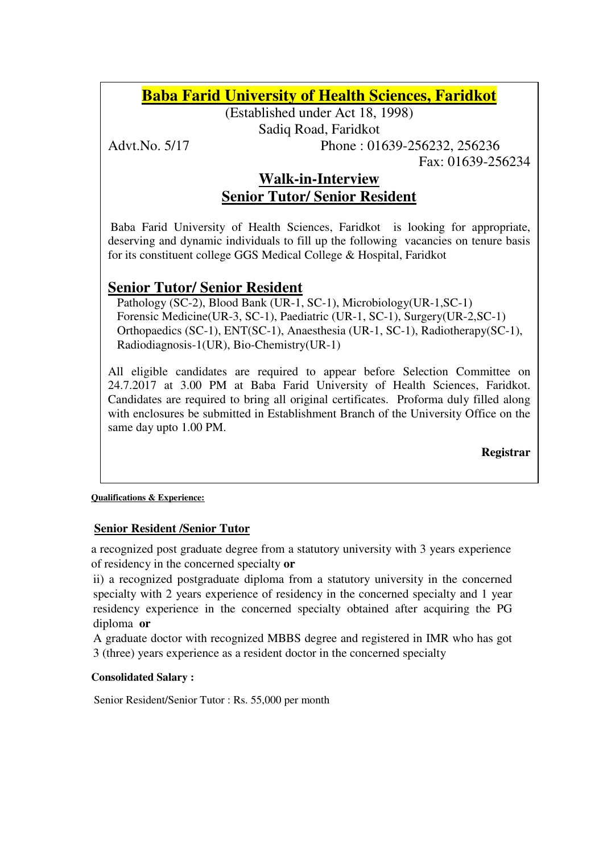# **Baba Farid University of Health Sciences, Faridkot**

(Established under Act 18, 1998)

Sadiq Road, Faridkot

Advt.No. 5/17 Phone : 01639-256232, 256236

Fax: 01639-256234

### **Walk-in-Interview Senior Tutor/ Senior Resident**

Baba Farid University of Health Sciences, Faridkot is looking for appropriate, deserving and dynamic individuals to fill up the following vacancies on tenure basis for its constituent college GGS Medical College & Hospital, Faridkot

## **Senior Tutor/ Senior Resident**

 Pathology (SC-2), Blood Bank (UR-1, SC-1), Microbiology(UR-1,SC-1) Forensic Medicine(UR-3, SC-1), Paediatric (UR-1, SC-1), Surgery(UR-2,SC-1) Orthopaedics (SC-1), ENT(SC-1), Anaesthesia (UR-1, SC-1), Radiotherapy(SC-1), Radiodiagnosis-1(UR), Bio-Chemistry(UR-1)

All eligible candidates are required to appear before Selection Committee on 24.7.2017 at 3.00 PM at Baba Farid University of Health Sciences, Faridkot. Candidates are required to bring all original certificates. Proforma duly filled along with enclosures be submitted in Establishment Branch of the University Office on the same day upto 1.00 PM.

**Registrar** 

#### **Qualifications & Experience:**

### **Senior Resident /Senior Tutor**

a recognized post graduate degree from a statutory university with 3 years experience of residency in the concerned specialty **or**

ii) a recognized postgraduate diploma from a statutory university in the concerned specialty with 2 years experience of residency in the concerned specialty and 1 year residency experience in the concerned specialty obtained after acquiring the PG diploma **or** 

A graduate doctor with recognized MBBS degree and registered in IMR who has got 3 (three) years experience as a resident doctor in the concerned specialty

#### **Consolidated Salary :**

Senior Resident/Senior Tutor : Rs. 55,000 per month